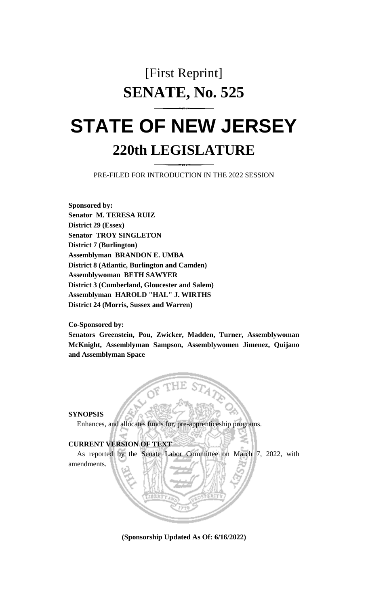## [First Reprint] **SENATE, No. 525**

## **STATE OF NEW JERSEY 220th LEGISLATURE**

PRE-FILED FOR INTRODUCTION IN THE 2022 SESSION

**Sponsored by: Senator M. TERESA RUIZ District 29 (Essex) Senator TROY SINGLETON District 7 (Burlington) Assemblyman BRANDON E. UMBA District 8 (Atlantic, Burlington and Camden) Assemblywoman BETH SAWYER District 3 (Cumberland, Gloucester and Salem) Assemblyman HAROLD "HAL" J. WIRTHS District 24 (Morris, Sussex and Warren)**

**Co-Sponsored by:**

**Senators Greenstein, Pou, Zwicker, Madden, Turner, Assemblywoman McKnight, Assemblyman Sampson, Assemblywomen Jimenez, Quijano and Assemblyman Space**

**SYNOPSIS**

Enhances, and allocates funds for, pre-apprenticeship programs.

## **CURRENT VERSION OF TEXT**

As reported by the Senate Labor Committee on March 7, 2022, with amendments.

**(Sponsorship Updated As Of: 6/16/2022)**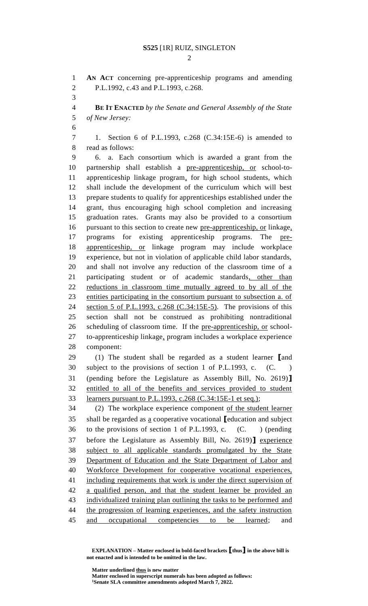$\mathcal{D}_{\mathcal{L}}$ 

 **AN ACT** concerning pre-apprenticeship programs and amending P.L.1992, c.43 and P.L.1993, c.268.

 **BE IT ENACTED** *by the Senate and General Assembly of the State of New Jersey:*

 1. Section 6 of P.L.1993, c.268 (C.34:15E-6) is amended to read as follows:

 6. a. Each consortium which is awarded a grant from the partnership shall establish a pre-apprenticeship, or school-to- apprenticeship linkage program, for high school students, which shall include the development of the curriculum which will best prepare students to qualify for apprenticeships established under the grant, thus encouraging high school completion and increasing graduation rates. Grants may also be provided to a consortium pursuant to this section to create new pre-apprenticeship, or linkage, programs for existing apprenticeship programs. The pre- apprenticeship, or linkage program may include workplace experience, but not in violation of applicable child labor standards, and shall not involve any reduction of the classroom time of a participating student or of academic standards, other than reductions in classroom time mutually agreed to by all of the entities participating in the consortium pursuant to subsection a. of 24 section 5 of P.L.1993, c.268 (C.34:15E-5). The provisions of this section shall not be construed as prohibiting nontraditional scheduling of classroom time. If the pre-apprenticeship, or school- to-apprenticeship linkage, program includes a workplace experience component:

 (1) The student shall be regarded as a student learner **[**and subject to the provisions of section 1 of P.L.1993, c. (C. ) (pending before the Legislature as Assembly Bill, No. 2619)**]** entitled to all of the benefits and services provided to student learners pursuant to P.L.1993, c.268 (C.34:15E-1 et seq.);

 (2) The workplace experience component of the student learner shall be regarded as a cooperative vocational **[**education and subject to the provisions of section 1 of P.L.1993, c. (C. ) (pending before the Legislature as Assembly Bill, No. 2619)**]** experience subject to all applicable standards promulgated by the State Department of Education and the State Department of Labor and Workforce Development for cooperative vocational experiences, including requirements that work is under the direct supervision of a qualified person, and that the student learner be provided an individualized training plan outlining the tasks to be performed and 44 the progression of learning experiences, and the safety instruction and occupational competencies to be learned; and

**EXPLANATION – Matter enclosed in bold-faced brackets [thus] in the above bill is not enacted and is intended to be omitted in the law.**

**Matter underlined thus is new matter**

**Matter enclosed in superscript numerals has been adopted as follows: Senate SLA committee amendments adopted March 7, 2022.**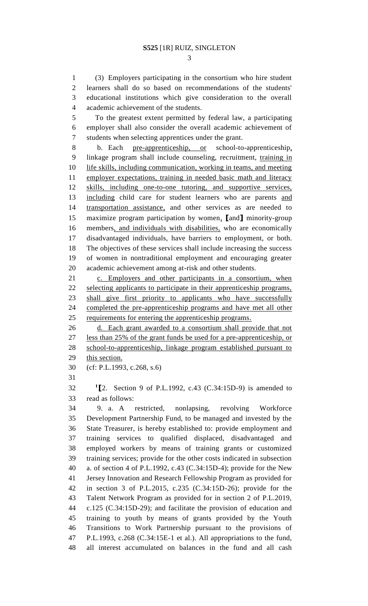(3) Employers participating in the consortium who hire student learners shall do so based on recommendations of the students' educational institutions which give consideration to the overall academic achievement of the students.

 To the greatest extent permitted by federal law, a participating employer shall also consider the overall academic achievement of students when selecting apprentices under the grant.

 b. Each pre-apprenticeship, or school-to-apprenticeship, linkage program shall include counseling, recruitment, training in life skills, including communication, working in teams, and meeting 11 employer expectations, training in needed basic math and literacy skills, including one-to-one tutoring, and supportive services, including child care for student learners who are parents and transportation assistance, and other services as are needed to maximize program participation by women, **[**and**]** minority-group members, and individuals with disabilities, who are economically disadvantaged individuals, have barriers to employment, or both. The objectives of these services shall include increasing the success of women in nontraditional employment and encouraging greater academic achievement among at-risk and other students.

 c. Employers and other participants in a consortium, when 22 selecting applicants to participate in their apprenticeship programs, shall give first priority to applicants who have successfully completed the pre-apprenticeship programs and have met all other 25 requirements for entering the apprenticeship programs.

 d. Each grant awarded to a consortium shall provide that not less than 25% of the grant funds be used for a pre-apprenticeship, or school-to-apprenticeship, linkage program established pursuant to this section.

(cf: P.L.1993, c.268, s.6)

**1 [**2. Section 9 of P.L.1992, c.43 (C.34:15D-9) is amended to read as follows:

 9. a. A restricted, nonlapsing, revolving Workforce Development Partnership Fund, to be managed and invested by the State Treasurer, is hereby established to: provide employment and training services to qualified displaced, disadvantaged and employed workers by means of training grants or customized training services; provide for the other costs indicated in subsection a. of section 4 of P.L.1992, c.43 (C.34:15D-4); provide for the New Jersey Innovation and Research Fellowship Program as provided for in section 3 of P.L.2015, c.235 (C.34:15D-26); provide for the Talent Network Program as provided for in section 2 of P.L.2019, c.125 (C.34:15D-29); and facilitate the provision of education and training to youth by means of grants provided by the Youth Transitions to Work Partnership pursuant to the provisions of P.L.1993, c.268 (C.34:15E-1 et al.). All appropriations to the fund, all interest accumulated on balances in the fund and all cash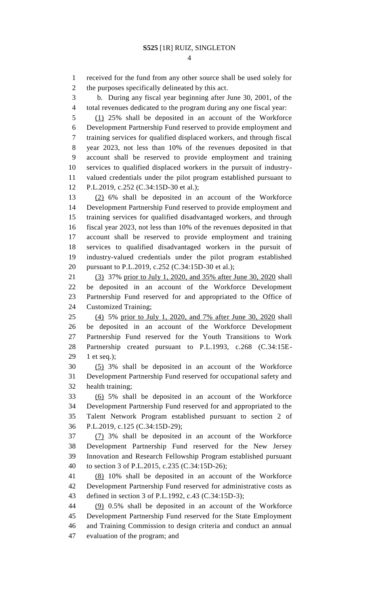received for the fund from any other source shall be used solely for the purposes specifically delineated by this act.

 b. During any fiscal year beginning after June 30, 2001, of the total revenues dedicated to the program during any one fiscal year:

 (1) 25% shall be deposited in an account of the Workforce Development Partnership Fund reserved to provide employment and training services for qualified displaced workers, and through fiscal year 2023, not less than 10% of the revenues deposited in that account shall be reserved to provide employment and training services to qualified displaced workers in the pursuit of industry- valued credentials under the pilot program established pursuant to P.L.2019, c.252 (C.34:15D-30 et al.);

 (2) 6% shall be deposited in an account of the Workforce Development Partnership Fund reserved to provide employment and training services for qualified disadvantaged workers, and through fiscal year 2023, not less than 10% of the revenues deposited in that account shall be reserved to provide employment and training services to qualified disadvantaged workers in the pursuit of industry-valued credentials under the pilot program established pursuant to P.L.2019, c.252 (C.34:15D-30 et al.);

 (3) 37% prior to July 1, 2020, and 35% after June 30, 2020 shall be deposited in an account of the Workforce Development Partnership Fund reserved for and appropriated to the Office of Customized Training;

 (4) 5% prior to July 1, 2020, and 7% after June 30, 2020 shall be deposited in an account of the Workforce Development Partnership Fund reserved for the Youth Transitions to Work Partnership created pursuant to P.L.1993, c.268 (C.34:15E-1 et seq.);

 (5) 3% shall be deposited in an account of the Workforce Development Partnership Fund reserved for occupational safety and health training;

 (6) 5% shall be deposited in an account of the Workforce Development Partnership Fund reserved for and appropriated to the Talent Network Program established pursuant to section 2 of P.L.2019, c.125 (C.34:15D-29);

 (7) 3% shall be deposited in an account of the Workforce Development Partnership Fund reserved for the New Jersey Innovation and Research Fellowship Program established pursuant to section 3 of P.L.2015, c.235 (C.34:15D-26);

 (8) 10% shall be deposited in an account of the Workforce Development Partnership Fund reserved for administrative costs as defined in section 3 of P.L.1992, c.43 (C.34:15D-3);

 (9) 0.5% shall be deposited in an account of the Workforce Development Partnership Fund reserved for the State Employment and Training Commission to design criteria and conduct an annual evaluation of the program; and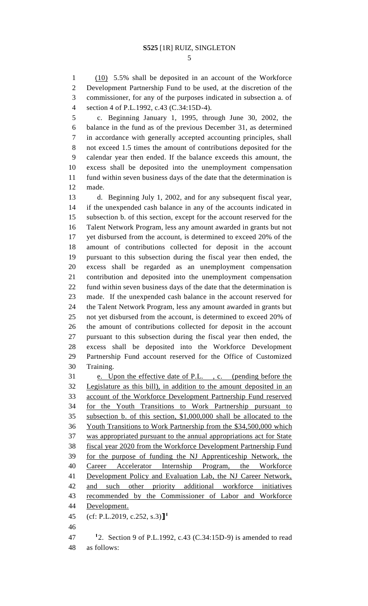(10) 5.5% shall be deposited in an account of the Workforce Development Partnership Fund to be used, at the discretion of the commissioner, for any of the purposes indicated in subsection a. of section 4 of P.L.1992, c.43 (C.34:15D-4).

 c. Beginning January 1, 1995, through June 30, 2002, the balance in the fund as of the previous December 31, as determined in accordance with generally accepted accounting principles, shall not exceed 1.5 times the amount of contributions deposited for the calendar year then ended. If the balance exceeds this amount, the excess shall be deposited into the unemployment compensation fund within seven business days of the date that the determination is made.

 d. Beginning July 1, 2002, and for any subsequent fiscal year, if the unexpended cash balance in any of the accounts indicated in subsection b. of this section, except for the account reserved for the Talent Network Program, less any amount awarded in grants but not yet disbursed from the account, is determined to exceed 20% of the amount of contributions collected for deposit in the account pursuant to this subsection during the fiscal year then ended, the excess shall be regarded as an unemployment compensation contribution and deposited into the unemployment compensation fund within seven business days of the date that the determination is made. If the unexpended cash balance in the account reserved for the Talent Network Program, less any amount awarded in grants but not yet disbursed from the account, is determined to exceed 20% of the amount of contributions collected for deposit in the account pursuant to this subsection during the fiscal year then ended, the excess shall be deposited into the Workforce Development Partnership Fund account reserved for the Office of Customized Training.

 e. Upon the effective date of P.L. , c. (pending before the Legislature as this bill), in addition to the amount deposited in an account of the Workforce Development Partnership Fund reserved for the Youth Transitions to Work Partnership pursuant to subsection b. of this section, \$1,000,000 shall be allocated to the Youth Transitions to Work Partnership from the \$34,500,000 which was appropriated pursuant to the annual appropriations act for State fiscal year 2020 from the Workforce Development Partnership Fund for the purpose of funding the NJ Apprenticeship Network, the Career Accelerator Internship Program, the Workforce Development Policy and Evaluation Lab, the NJ Career Network, and such other priority additional workforce initiatives recommended by the Commissioner of Labor and Workforce Development. (cf: P.L.2019, c.252, s.3)**] 1** 

**1** 2. Section 9 of P.L.1992, c.43 (C.34:15D-9) is amended to read as follows: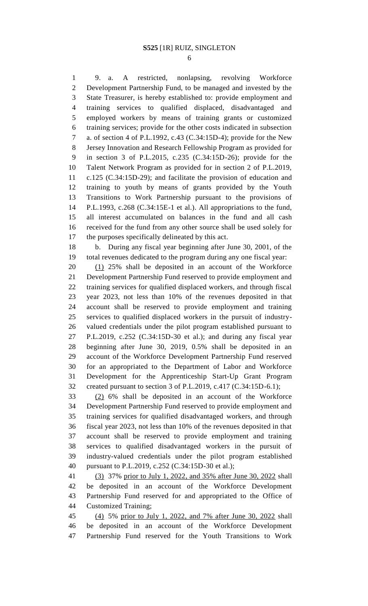9. a. A restricted, nonlapsing, revolving Workforce Development Partnership Fund, to be managed and invested by the State Treasurer, is hereby established to: provide employment and training services to qualified displaced, disadvantaged and employed workers by means of training grants or customized training services; provide for the other costs indicated in subsection a. of section 4 of P.L.1992, c.43 (C.34:15D-4); provide for the New Jersey Innovation and Research Fellowship Program as provided for in section 3 of P.L.2015, c.235 (C.34:15D-26); provide for the Talent Network Program as provided for in section 2 of P.L.2019, c.125 (C.34:15D-29); and facilitate the provision of education and training to youth by means of grants provided by the Youth Transitions to Work Partnership pursuant to the provisions of P.L.1993, c.268 (C.34:15E-1 et al.). All appropriations to the fund, all interest accumulated on balances in the fund and all cash received for the fund from any other source shall be used solely for the purposes specifically delineated by this act.

 b. During any fiscal year beginning after June 30, 2001, of the total revenues dedicated to the program during any one fiscal year:

 (1) 25% shall be deposited in an account of the Workforce Development Partnership Fund reserved to provide employment and training services for qualified displaced workers, and through fiscal year 2023, not less than 10% of the revenues deposited in that account shall be reserved to provide employment and training services to qualified displaced workers in the pursuit of industry- valued credentials under the pilot program established pursuant to P.L.2019, c.252 (C.34:15D-30 et al.); and during any fiscal year beginning after June 30, 2019, 0.5% shall be deposited in an account of the Workforce Development Partnership Fund reserved for an appropriated to the Department of Labor and Workforce Development for the Apprenticeship Start-Up Grant Program created pursuant to section 3 of P.L.2019, c.417 (C.34:15D-6.1);

 (2) 6% shall be deposited in an account of the Workforce Development Partnership Fund reserved to provide employment and training services for qualified disadvantaged workers, and through fiscal year 2023, not less than 10% of the revenues deposited in that account shall be reserved to provide employment and training services to qualified disadvantaged workers in the pursuit of industry-valued credentials under the pilot program established pursuant to P.L.2019, c.252 (C.34:15D-30 et al.);

 (3) 37% prior to July 1, 2022, and 35% after June 30, 2022 shall be deposited in an account of the Workforce Development Partnership Fund reserved for and appropriated to the Office of Customized Training;

 (4) 5% prior to July 1, 2022, and 7% after June 30, 2022 shall be deposited in an account of the Workforce Development Partnership Fund reserved for the Youth Transitions to Work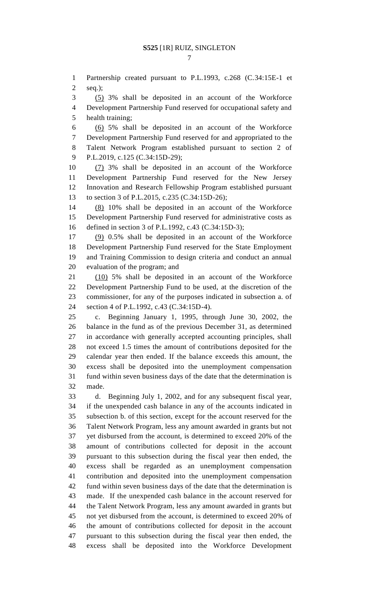Partnership created pursuant to P.L.1993, c.268 (C.34:15E-1 et seq.);

(5) 3% shall be deposited in an account of the Workforce

 Development Partnership Fund reserved for occupational safety and health training;

 (6) 5% shall be deposited in an account of the Workforce Development Partnership Fund reserved for and appropriated to the Talent Network Program established pursuant to section 2 of P.L.2019, c.125 (C.34:15D-29);

 (7) 3% shall be deposited in an account of the Workforce Development Partnership Fund reserved for the New Jersey Innovation and Research Fellowship Program established pursuant to section 3 of P.L.2015, c.235 (C.34:15D-26);

 (8) 10% shall be deposited in an account of the Workforce Development Partnership Fund reserved for administrative costs as defined in section 3 of P.L.1992, c.43 (C.34:15D-3);

 (9) 0.5% shall be deposited in an account of the Workforce Development Partnership Fund reserved for the State Employment and Training Commission to design criteria and conduct an annual evaluation of the program; and

 (10) 5% shall be deposited in an account of the Workforce Development Partnership Fund to be used, at the discretion of the commissioner, for any of the purposes indicated in subsection a. of section 4 of P.L.1992, c.43 (C.34:15D-4).

 c. Beginning January 1, 1995, through June 30, 2002, the balance in the fund as of the previous December 31, as determined in accordance with generally accepted accounting principles, shall not exceed 1.5 times the amount of contributions deposited for the calendar year then ended. If the balance exceeds this amount, the excess shall be deposited into the unemployment compensation fund within seven business days of the date that the determination is made.

 d. Beginning July 1, 2002, and for any subsequent fiscal year, if the unexpended cash balance in any of the accounts indicated in subsection b. of this section, except for the account reserved for the Talent Network Program, less any amount awarded in grants but not yet disbursed from the account, is determined to exceed 20% of the amount of contributions collected for deposit in the account pursuant to this subsection during the fiscal year then ended, the excess shall be regarded as an unemployment compensation contribution and deposited into the unemployment compensation fund within seven business days of the date that the determination is made. If the unexpended cash balance in the account reserved for the Talent Network Program, less any amount awarded in grants but not yet disbursed from the account, is determined to exceed 20% of the amount of contributions collected for deposit in the account pursuant to this subsection during the fiscal year then ended, the excess shall be deposited into the Workforce Development